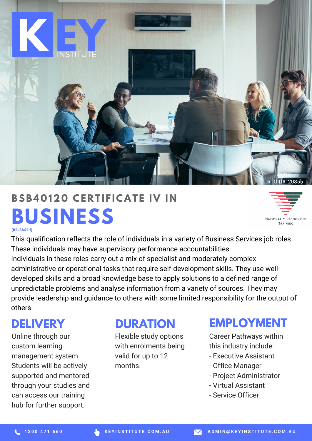

# **BUSINESS BSB4 0 120 CE R T I F ICAT E IV I N**



**(RELEASE 1)**

This qualification reflects the role of individuals in a variety of Business Services job roles. These individuals may have supervisory performance accountabilities. Individuals in these roles carry out a mix of specialist and moderately complex administrative or operational tasks that require self-development skills. They use welldeveloped skills and a broad knowledge base to apply solutions to a defined range of unpredictable problems and analyse information from a variety of sources. They may provide leadership and guidance to others with some limited responsibility for the output of others.

## **DELIVERY**

Online through our custom learning management system. Students will be actively supported and mentored through your studies and can access our training hub for further support.

#### **DURATION**

Flexible study options with enrolments being valid for up to 12 months.

#### **EMPLOYMENT**

Career Pathways within this industry include:

- Executive Assistant
- Office Manager
- Project Administrator
- Virtual Assistant
- Service Officer